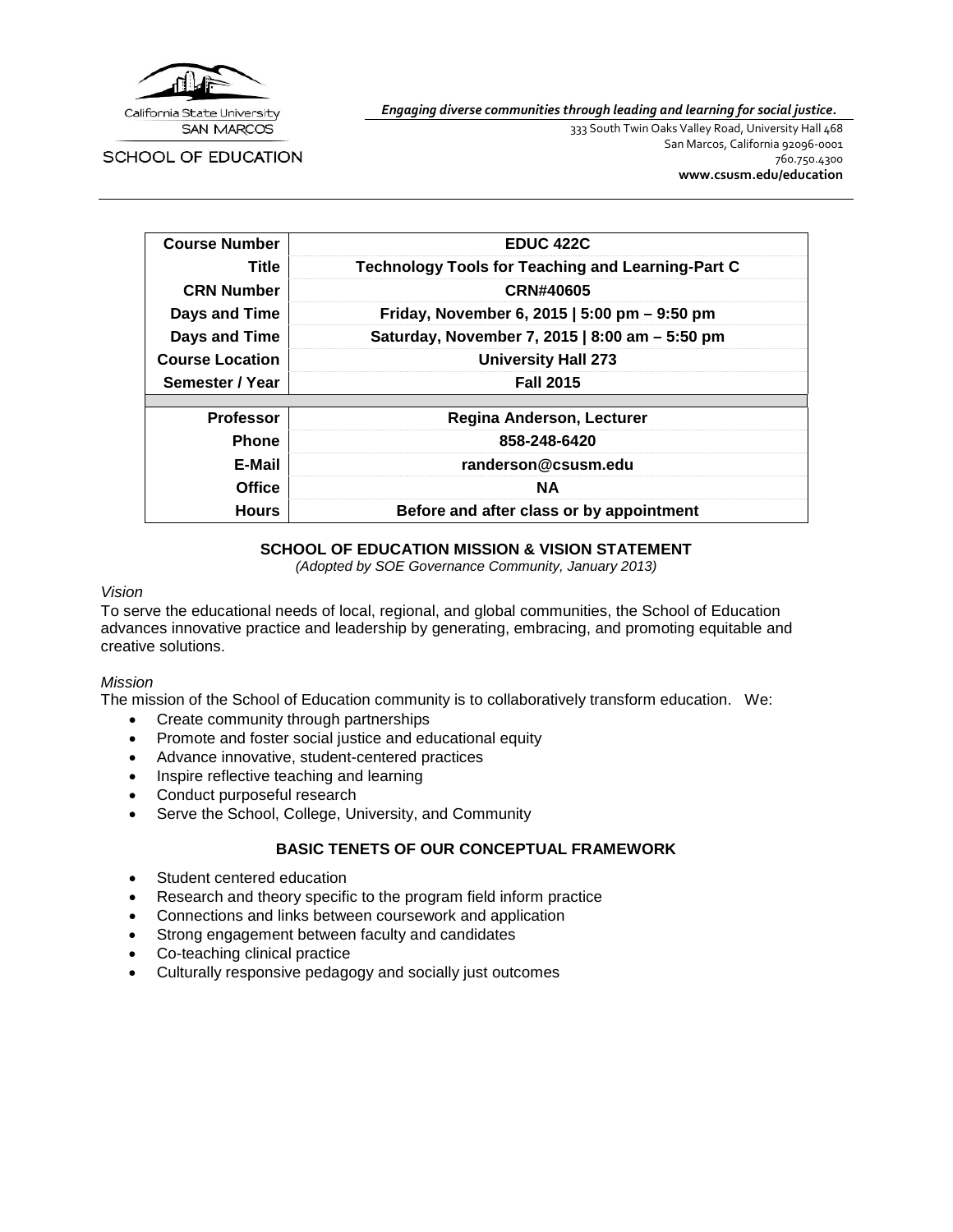

**SCHOOL OF EDUCATION** 

*Engaging diverse communities through leading and learning for social justice.*

333 South Twin Oaks Valley Road, University Hall 468 San Marcos, California 92096-0001 760.750.4300 **[www.csusm.edu/education](http://www.csusm.edu/education)**

| <b>Course Number</b>   | <b>EDUC 422C</b>                                         |
|------------------------|----------------------------------------------------------|
| Title                  | <b>Technology Tools for Teaching and Learning-Part C</b> |
| <b>CRN Number</b>      | CRN#40605                                                |
| Days and Time          | Friday, November 6, 2015   5:00 pm - 9:50 pm             |
| Days and Time          | Saturday, November 7, 2015   8:00 am - 5:50 pm           |
| <b>Course Location</b> | <b>University Hall 273</b>                               |
| Semester / Year        | <b>Fall 2015</b>                                         |
|                        |                                                          |
| <b>Professor</b>       | <b>Regina Anderson, Lecturer</b>                         |
| <b>Phone</b>           | 858-248-6420                                             |
| E-Mail                 | randerson@csusm.edu                                      |
| <b>Office</b>          | <b>NA</b>                                                |
| <b>Hours</b>           | Before and after class or by appointment                 |

## **SCHOOL OF EDUCATION MISSION & VISION STATEMENT**

*(Adopted by SOE Governance Community, January 2013)*

#### *Vision*

To serve the educational needs of local, regional, and global communities, the School of Education advances innovative practice and leadership by generating, embracing, and promoting equitable and creative solutions.

#### *Mission*

The mission of the School of Education community is to collaboratively transform education. We:

- Create community through partnerships
- Promote and foster social justice and educational equity
- Advance innovative, student-centered practices
- Inspire reflective teaching and learning
- Conduct purposeful research
- Serve the School, College, University, and Community

#### **BASIC TENETS OF OUR CONCEPTUAL FRAMEWORK**

- Student centered education
- Research and theory specific to the program field inform practice
- Connections and links between coursework and application
- Strong engagement between faculty and candidates
- Co-teaching clinical practice
- Culturally responsive pedagogy and socially just outcomes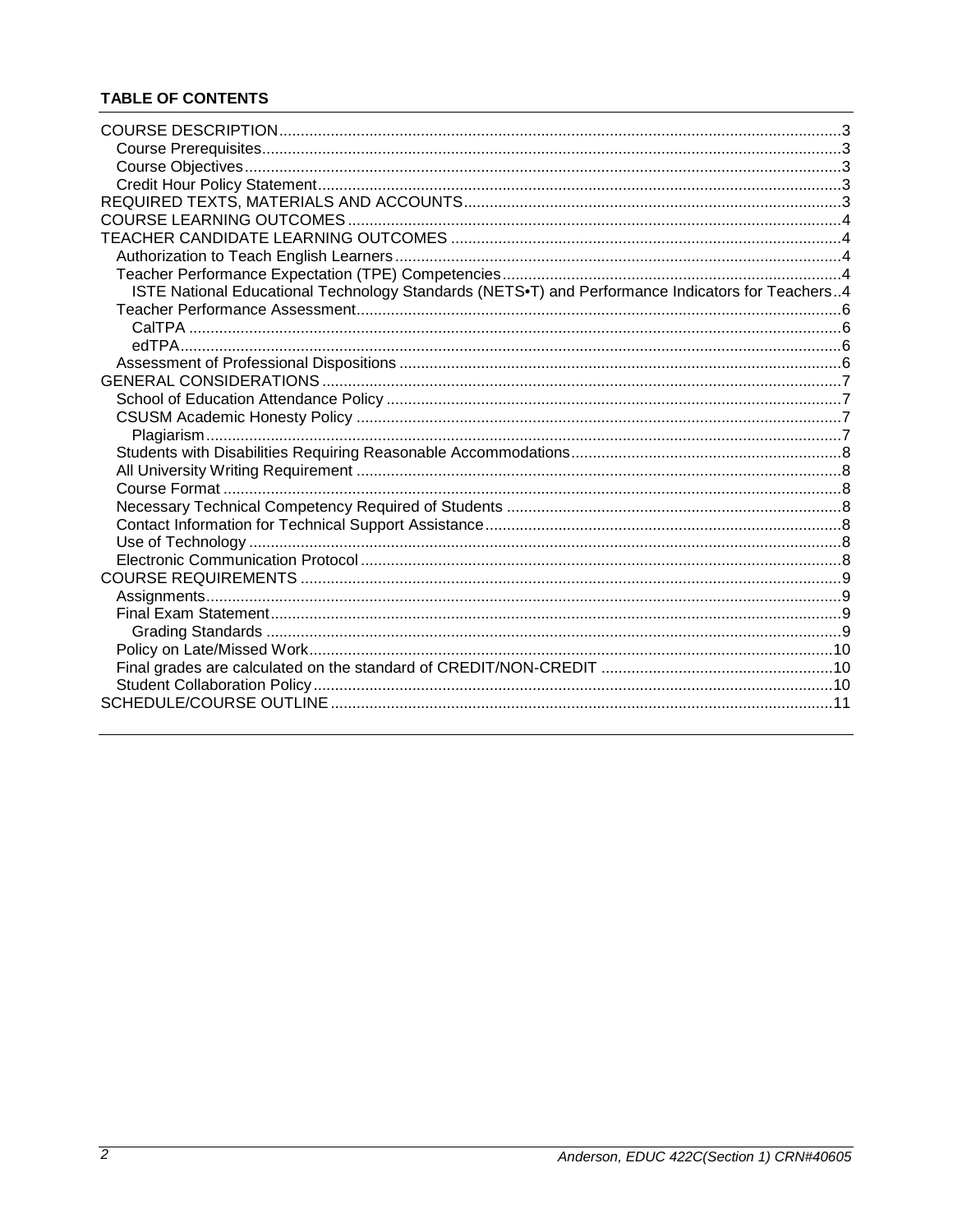# **TABLE OF CONTENTS**

| ISTE National Educational Technology Standards (NETS.T) and Performance Indicators for Teachers4 |  |
|--------------------------------------------------------------------------------------------------|--|
|                                                                                                  |  |
|                                                                                                  |  |
|                                                                                                  |  |
|                                                                                                  |  |
|                                                                                                  |  |
|                                                                                                  |  |
|                                                                                                  |  |
|                                                                                                  |  |
|                                                                                                  |  |
|                                                                                                  |  |
|                                                                                                  |  |
|                                                                                                  |  |
|                                                                                                  |  |
|                                                                                                  |  |
|                                                                                                  |  |
|                                                                                                  |  |
|                                                                                                  |  |
|                                                                                                  |  |
|                                                                                                  |  |
|                                                                                                  |  |
|                                                                                                  |  |
|                                                                                                  |  |
|                                                                                                  |  |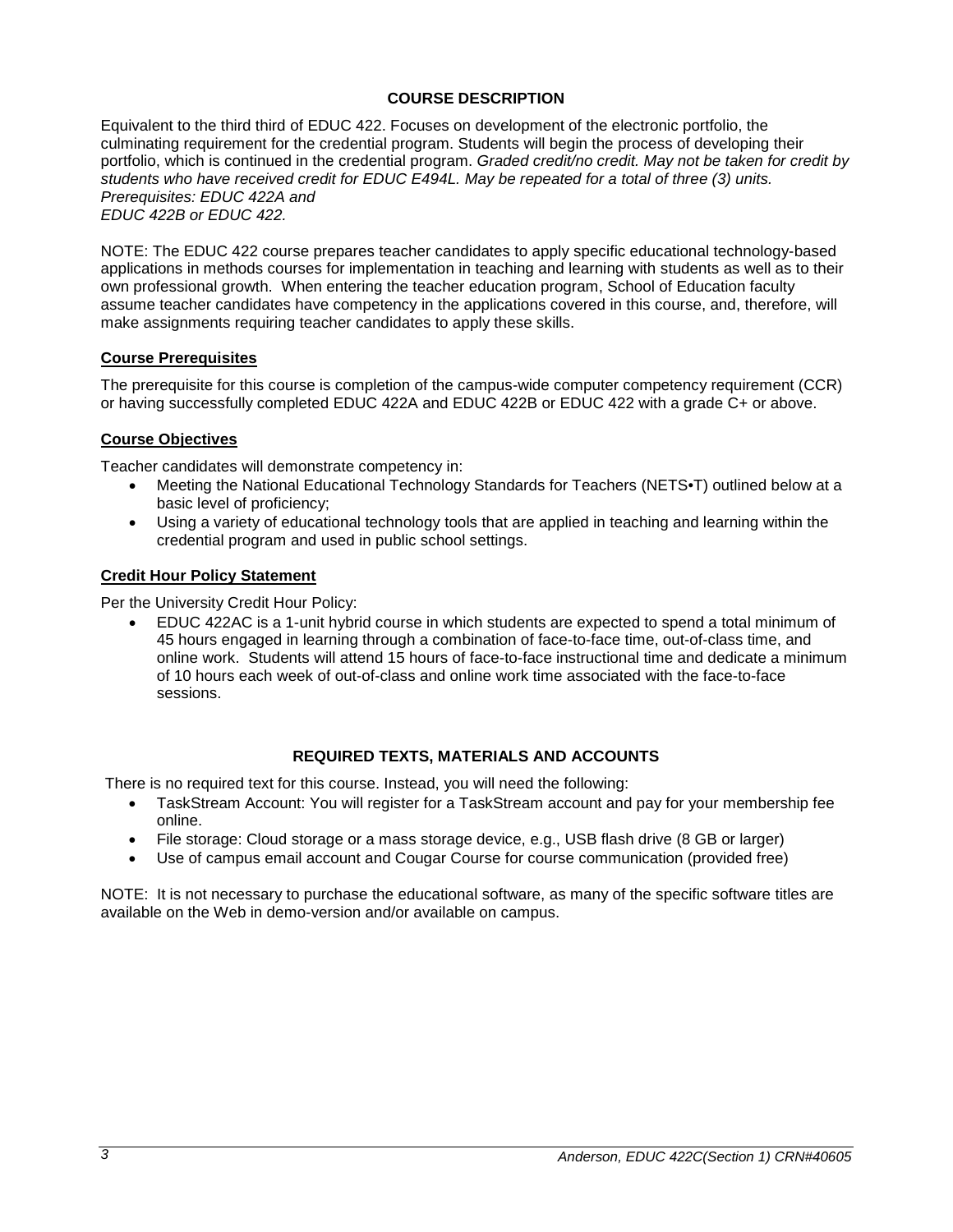## **COURSE DESCRIPTION**

<span id="page-2-0"></span>Equivalent to the third third of EDUC 422. Focuses on development of the electronic portfolio, the culminating requirement for the credential program. Students will begin the process of developing their portfolio, which is continued in the credential program. *Graded credit/no credit. May not be taken for credit by students who have received credit for EDUC E494L. May be repeated for a total of three (3) units. Prerequisites: EDUC 422A and EDUC 422B or EDUC 422.*

NOTE: The EDUC 422 course prepares teacher candidates to apply specific educational technology-based applications in methods courses for implementation in teaching and learning with students as well as to their own professional growth. When entering the teacher education program, School of Education faculty assume teacher candidates have competency in the applications covered in this course, and, therefore, will make assignments requiring teacher candidates to apply these skills.

## <span id="page-2-1"></span>**Course Prerequisites**

The prerequisite for this course is completion of the campus-wide computer competency requirement (CCR) or having successfully completed EDUC 422A and EDUC 422B or EDUC 422 with a grade C+ or above.

#### <span id="page-2-2"></span>**Course Objectives**

Teacher candidates will demonstrate competency in:

- Meeting the National Educational Technology Standards for Teachers (NETS•T) outlined below at a basic level of proficiency;
- Using a variety of educational technology tools that are applied in teaching and learning within the credential program and used in public school settings.

#### <span id="page-2-3"></span>**Credit Hour Policy Statement**

Per the University Credit Hour Policy:

• EDUC 422AC is a 1-unit hybrid course in which students are expected to spend a total minimum of 45 hours engaged in learning through a combination of face-to-face time, out-of-class time, and online work. Students will attend 15 hours of face-to-face instructional time and dedicate a minimum of 10 hours each week of out-of-class and online work time associated with the face-to-face sessions.

## **REQUIRED TEXTS, MATERIALS AND ACCOUNTS**

<span id="page-2-4"></span>There is no required text for this course. Instead, you will need the following:

- TaskStream Account: You will register for a TaskStream account and pay for your membership fee online.
- File storage: Cloud storage or a mass storage device, e.g., USB flash drive (8 GB or larger)
- Use of campus email account and Cougar Course for course communication (provided free)

NOTE: It is not necessary to purchase the educational software, as many of the specific software titles are available on the Web in demo-version and/or available on campus.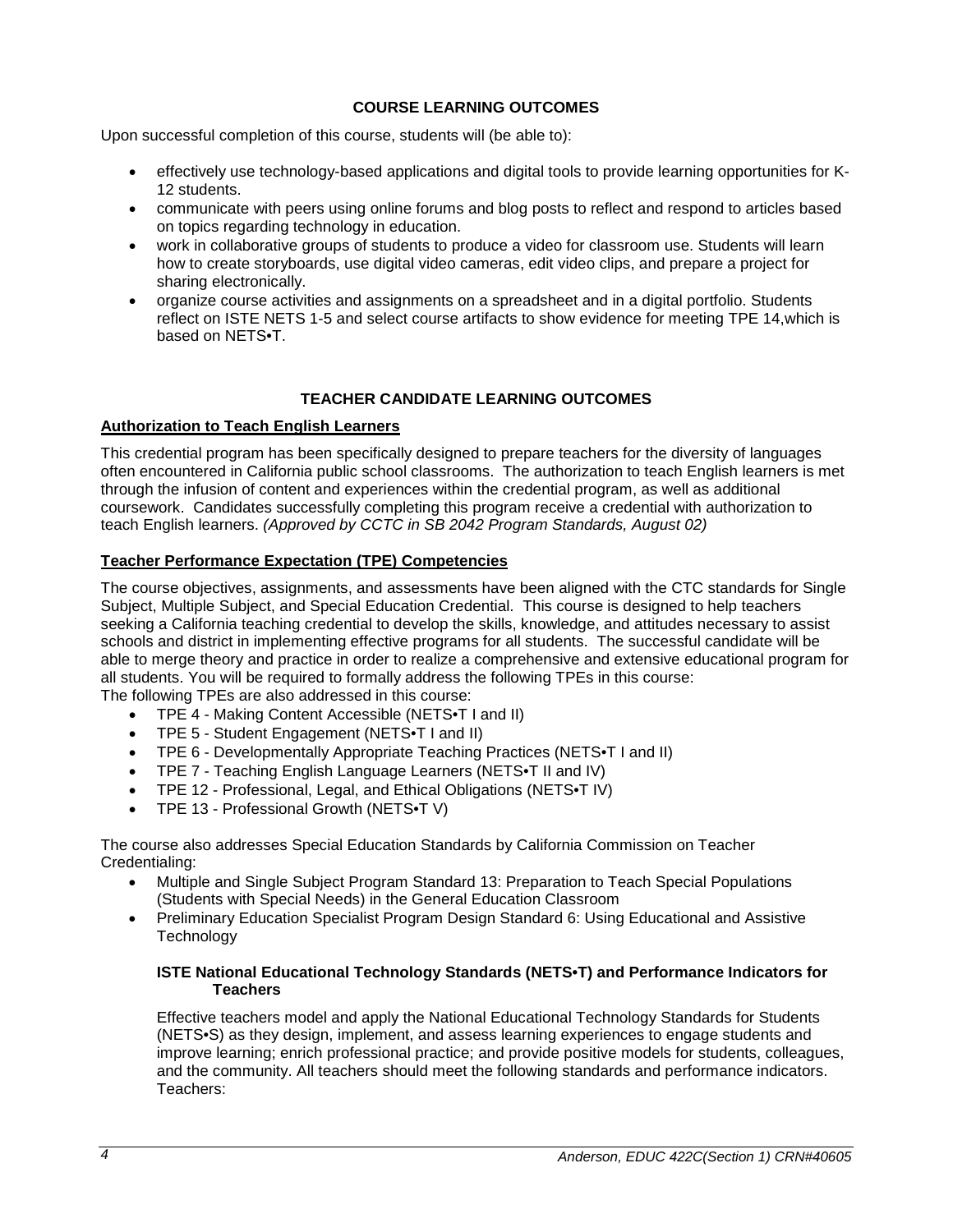## **COURSE LEARNING OUTCOMES**

<span id="page-3-0"></span>Upon successful completion of this course, students will (be able to):

- effectively use technology-based applications and digital tools to provide learning opportunities for K-12 students.
- communicate with peers using online forums and blog posts to reflect and respond to articles based on topics regarding technology in education.
- work in collaborative groups of students to produce a video for classroom use. Students will learn how to create storyboards, use digital video cameras, edit video clips, and prepare a project for sharing electronically.
- organize course activities and assignments on a spreadsheet and in a digital portfolio. Students reflect on ISTE NETS 1-5 and select course artifacts to show evidence for meeting TPE 14,which is based on NETS•T.

# **TEACHER CANDIDATE LEARNING OUTCOMES**

#### <span id="page-3-2"></span><span id="page-3-1"></span>**Authorization to Teach English Learners**

This credential program has been specifically designed to prepare teachers for the diversity of languages often encountered in California public school classrooms. The authorization to teach English learners is met through the infusion of content and experiences within the credential program, as well as additional coursework. Candidates successfully completing this program receive a credential with authorization to teach English learners. *(Approved by CCTC in SB 2042 Program Standards, August 02)*

# <span id="page-3-3"></span>**Teacher Performance Expectation (TPE) Competencies**

The course objectives, assignments, and assessments have been aligned with the CTC standards for Single Subject, Multiple Subject, and Special Education Credential. This course is designed to help teachers seeking a California teaching credential to develop the skills, knowledge, and attitudes necessary to assist schools and district in implementing effective programs for all students. The successful candidate will be able to merge theory and practice in order to realize a comprehensive and extensive educational program for all students. You will be required to formally address the following TPEs in this course: The following TPEs are also addressed in this course:

- TPE 4 Making Content Accessible (NETS•T I and II)
- TPE 5 Student Engagement (NETS•T I and II)
- TPE 6 Developmentally Appropriate Teaching Practices (NETS•T I and II)
- TPE 7 Teaching English Language Learners (NETS•T II and IV)
- TPE 12 Professional, Legal, and Ethical Obligations (NETS•T IV)
- TPE 13 Professional Growth (NETS•T V)

The course also addresses Special Education Standards by California Commission on Teacher Credentialing:

- Multiple and Single Subject Program Standard 13: Preparation to Teach Special Populations (Students with Special Needs) in the General Education Classroom
- Preliminary Education Specialist Program Design Standard 6: Using Educational and Assistive **Technology**

#### <span id="page-3-4"></span>**ISTE National Educational Technology Standards (NETS•T) and Performance Indicators for Teachers**

Effective teachers model and apply the National Educational Technology Standards for Students (NETS•S) as they design, implement, and assess learning experiences to engage students and improve learning; enrich professional practice; and provide positive models for students, colleagues, and the community. All teachers should meet the following standards and performance indicators. Teachers: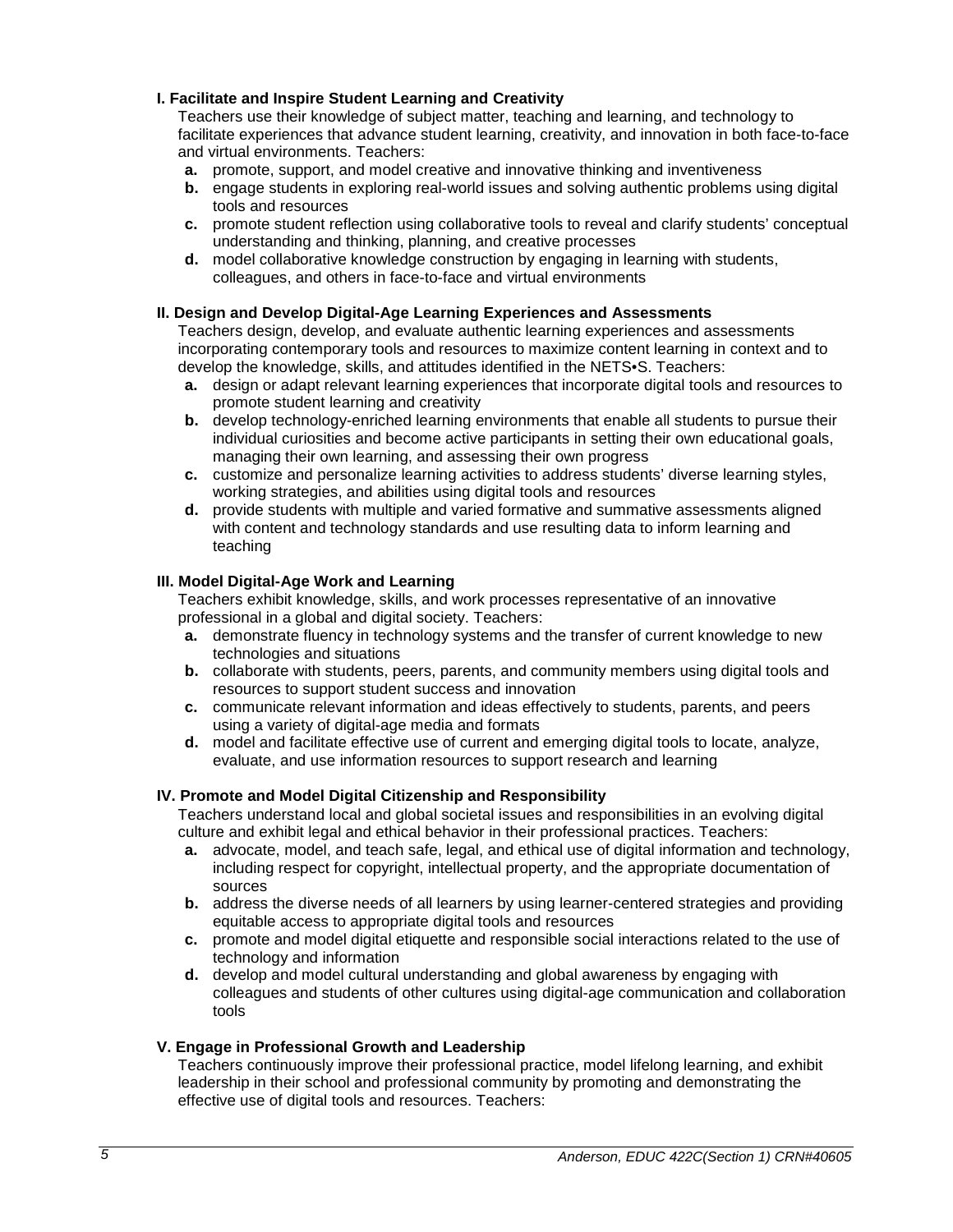# **I. Facilitate and Inspire Student Learning and Creativity**

Teachers use their knowledge of subject matter, teaching and learning, and technology to facilitate experiences that advance student learning, creativity, and innovation in both face-to-face and virtual environments. Teachers:

- **a.** promote, support, and model creative and innovative thinking and inventiveness
- **b.** engage students in exploring real-world issues and solving authentic problems using digital tools and resources
- **c.** promote student reflection using collaborative tools to reveal and clarify students' conceptual understanding and thinking, planning, and creative processes
- **d.** model collaborative knowledge construction by engaging in learning with students, colleagues, and others in face-to-face and virtual environments

# **II. Design and Develop Digital-Age Learning Experiences and Assessments**

Teachers design, develop, and evaluate authentic learning experiences and assessments incorporating contemporary tools and resources to maximize content learning in context and to develop the knowledge, skills, and attitudes identified in the NETS•S. Teachers:

- **a.** design or adapt relevant learning experiences that incorporate digital tools and resources to promote student learning and creativity
- **b.** develop technology-enriched learning environments that enable all students to pursue their individual curiosities and become active participants in setting their own educational goals, managing their own learning, and assessing their own progress
- **c.** customize and personalize learning activities to address students' diverse learning styles, working strategies, and abilities using digital tools and resources
- **d.** provide students with multiple and varied formative and summative assessments aligned with content and technology standards and use resulting data to inform learning and teaching

## **III. Model Digital-Age Work and Learning**

Teachers exhibit knowledge, skills, and work processes representative of an innovative professional in a global and digital society. Teachers:

- **a.** demonstrate fluency in technology systems and the transfer of current knowledge to new technologies and situations
- **b.** collaborate with students, peers, parents, and community members using digital tools and resources to support student success and innovation
- **c.** communicate relevant information and ideas effectively to students, parents, and peers using a variety of digital-age media and formats
- **d.** model and facilitate effective use of current and emerging digital tools to locate, analyze, evaluate, and use information resources to support research and learning

## **IV. Promote and Model Digital Citizenship and Responsibility**

Teachers understand local and global societal issues and responsibilities in an evolving digital culture and exhibit legal and ethical behavior in their professional practices. Teachers:

- **a.** advocate, model, and teach safe, legal, and ethical use of digital information and technology, including respect for copyright, intellectual property, and the appropriate documentation of sources
- **b.** address the diverse needs of all learners by using learner-centered strategies and providing equitable access to appropriate digital tools and resources
- **c.** promote and model digital etiquette and responsible social interactions related to the use of technology and information
- **d.** develop and model cultural understanding and global awareness by engaging with colleagues and students of other cultures using digital-age communication and collaboration tools

## **V. Engage in Professional Growth and Leadership**

Teachers continuously improve their professional practice, model lifelong learning, and exhibit leadership in their school and professional community by promoting and demonstrating the effective use of digital tools and resources. Teachers: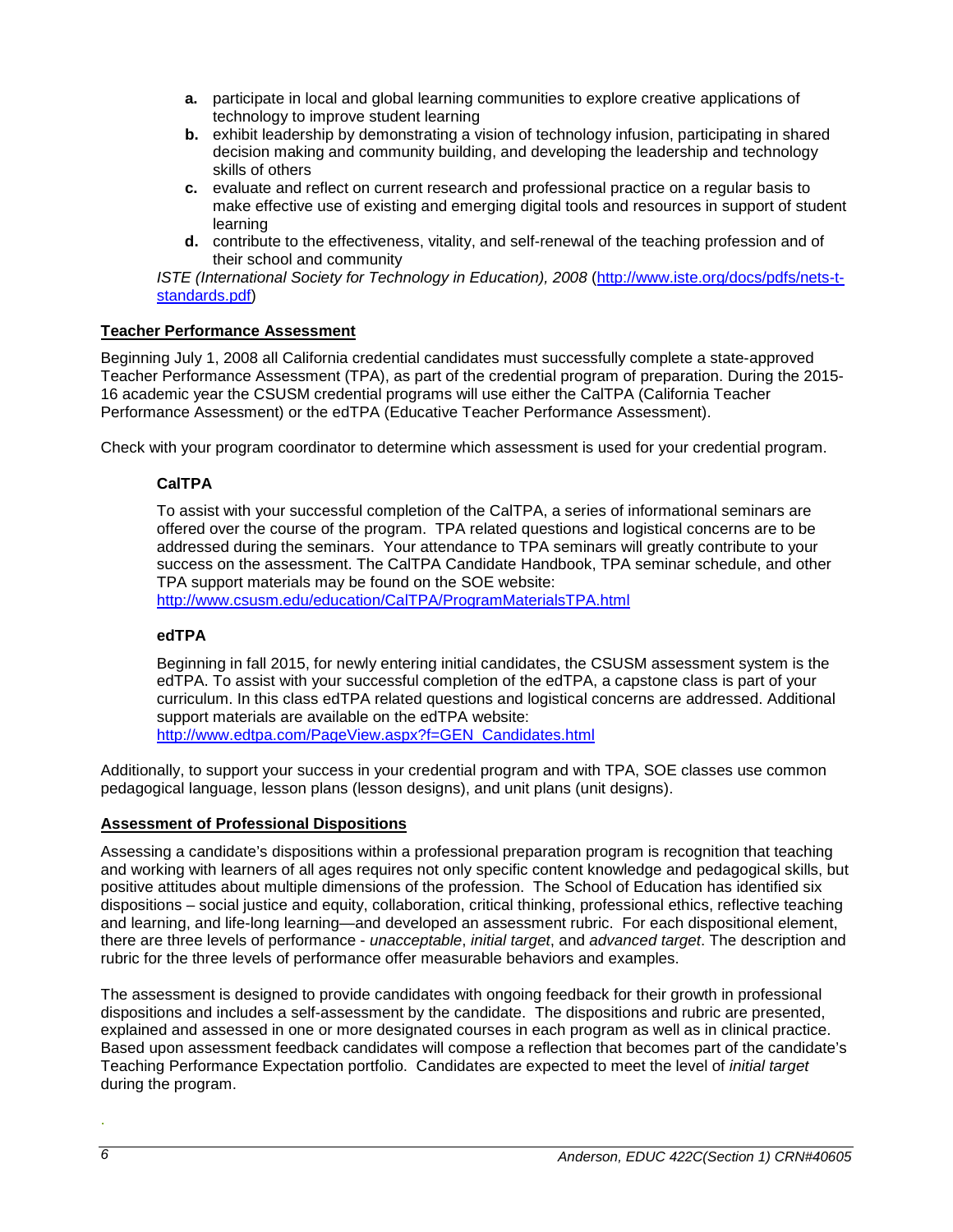- **a.** participate in local and global learning communities to explore creative applications of technology to improve student learning
- **b.** exhibit leadership by demonstrating a vision of technology infusion, participating in shared decision making and community building, and developing the leadership and technology skills of others
- **c.** evaluate and reflect on current research and professional practice on a regular basis to make effective use of existing and emerging digital tools and resources in support of student learning
- **d.** contribute to the effectiveness, vitality, and self-renewal of the teaching profession and of their school and community

*ISTE (International Society for Technology in Education), 2008* [\(http://www.iste.org/docs/pdfs/nets-t](http://www.iste.org/docs/pdfs/nets-t-standards.pdf)[standards.pdf\)](http://www.iste.org/docs/pdfs/nets-t-standards.pdf)

## <span id="page-5-0"></span>**Teacher Performance Assessment**

Beginning July 1, 2008 all California credential candidates must successfully complete a state-approved Teacher Performance Assessment (TPA), as part of the credential program of preparation. During the 2015- 16 academic year the CSUSM credential programs will use either the CalTPA (California Teacher Performance Assessment) or the edTPA (Educative Teacher Performance Assessment).

<span id="page-5-1"></span>Check with your program coordinator to determine which assessment is used for your credential program.

# **CalTPA**

To assist with your successful completion of the CalTPA, a series of informational seminars are offered over the course of the program. TPA related questions and logistical concerns are to be addressed during the seminars. Your attendance to TPA seminars will greatly contribute to your success on the assessment. The CalTPA Candidate Handbook, TPA seminar schedule, and other TPA support materials may be found on the SOE website:

<http://www.csusm.edu/education/CalTPA/ProgramMaterialsTPA.html>

## <span id="page-5-2"></span>**edTPA**

Beginning in fall 2015, for newly entering initial candidates, the CSUSM assessment system is the edTPA. To assist with your successful completion of the edTPA, a capstone class is part of your curriculum. In this class edTPA related questions and logistical concerns are addressed. Additional support materials are available on the edTPA website: [http://www.edtpa.com/PageView.aspx?f=GEN\\_Candidates.html](http://www.edtpa.com/PageView.aspx?f=GEN_Candidates.html)

Additionally, to support your success in your credential program and with TPA, SOE classes use common pedagogical language, lesson plans (lesson designs), and unit plans (unit designs).

## <span id="page-5-3"></span>**Assessment of Professional Dispositions**

Assessing a candidate's dispositions within a professional preparation program is recognition that teaching and working with learners of all ages requires not only specific content knowledge and pedagogical skills, but positive attitudes about multiple dimensions of the profession. The School of Education has identified six dispositions – social justice and equity, collaboration, critical thinking, professional ethics, reflective teaching and learning, and life-long learning—and developed an assessment rubric. For each dispositional element, there are three levels of performance - *unacceptable*, *initial target*, and *advanced target*. The description and rubric for the three levels of performance offer measurable behaviors and examples.

The assessment is designed to provide candidates with ongoing feedback for their growth in professional dispositions and includes a self-assessment by the candidate. The dispositions and rubric are presented, explained and assessed in one or more designated courses in each program as well as in clinical practice. Based upon assessment feedback candidates will compose a reflection that becomes part of the candidate's Teaching Performance Expectation portfolio. Candidates are expected to meet the level of *initial target* during the program.

.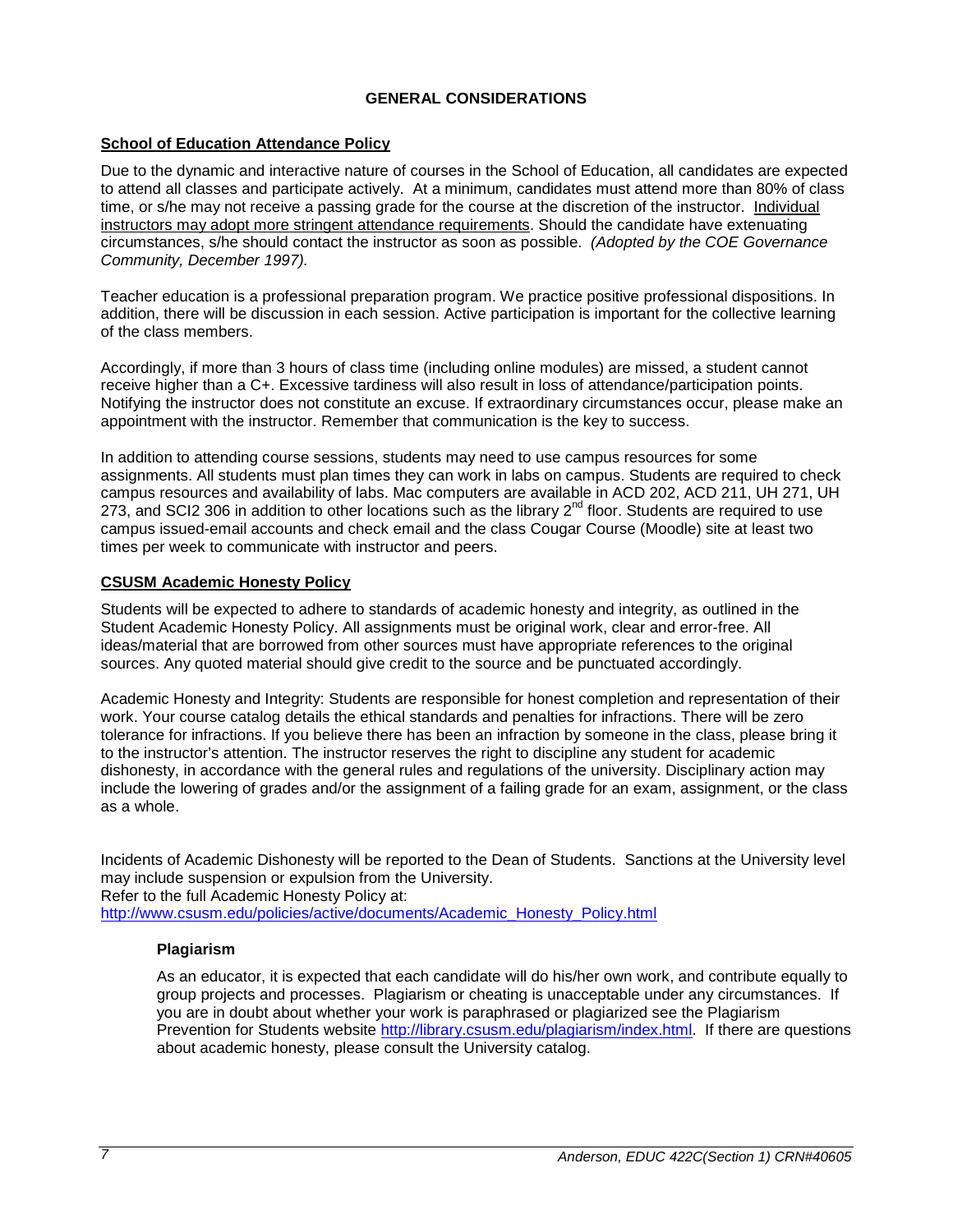# **GENERAL CONSIDERATIONS**

## <span id="page-6-1"></span><span id="page-6-0"></span>**School of Education Attendance Policy**

Due to the dynamic and interactive nature of courses in the School of Education, all candidates are expected to attend all classes and participate actively. At a minimum, candidates must attend more than 80% of class time, or s/he may not receive a passing grade for the course at the discretion of the instructor. Individual instructors may adopt more stringent attendance requirements. Should the candidate have extenuating circumstances, s/he should contact the instructor as soon as possible. *(Adopted by the COE Governance Community, December 1997).*

Teacher education is a professional preparation program. We practice positive professional dispositions. In addition, there will be discussion in each session. Active participation is important for the collective learning of the class members.

Accordingly, if more than 3 hours of class time (including online modules) are missed, a student cannot receive higher than a C+. Excessive tardiness will also result in loss of attendance/participation points. Notifying the instructor does not constitute an excuse. If extraordinary circumstances occur, please make an appointment with the instructor. Remember that communication is the key to success.

In addition to attending course sessions, students may need to use campus resources for some assignments. All students must plan times they can work in labs on campus. Students are required to check campus resources and availability of labs. Mac computers are available in ACD 202, ACD 211, UH 271, UH 273, and SCI2 306 in addition to other locations such as the library  $2^{nd}$  floor. Students are required to use campus issued-email accounts and check email and the class Cougar Course (Moodle) site at least two times per week to communicate with instructor and peers.

## <span id="page-6-2"></span>**CSUSM Academic Honesty Policy**

Students will be expected to adhere to standards of academic honesty and integrity, as outlined in the Student Academic Honesty Policy. All assignments must be original work, clear and error-free. All ideas/material that are borrowed from other sources must have appropriate references to the original sources. Any quoted material should give credit to the source and be punctuated accordingly.

Academic Honesty and Integrity: Students are responsible for honest completion and representation of their work. Your course catalog details the ethical standards and penalties for infractions. There will be zero tolerance for infractions. If you believe there has been an infraction by someone in the class, please bring it to the instructor's attention. The instructor reserves the right to discipline any student for academic dishonesty, in accordance with the general rules and regulations of the university. Disciplinary action may include the lowering of grades and/or the assignment of a failing grade for an exam, assignment, or the class as a whole.

Incidents of Academic Dishonesty will be reported to the Dean of Students. Sanctions at the University level may include suspension or expulsion from the University.

Refer to the full Academic Honesty Policy at:

<span id="page-6-3"></span>[http://www.csusm.edu/policies/active/documents/Academic\\_Honesty\\_Policy.html](http://www.csusm.edu/policies/active/documents/Academic_Honesty_Policy.html)

## **Plagiarism**

As an educator, it is expected that each candidate will do his/her own work, and contribute equally to group projects and processes. Plagiarism or cheating is unacceptable under any circumstances. If you are in doubt about whether your work is paraphrased or plagiarized see the Plagiarism Prevention for Students website [http://library.csusm.edu/plagiarism/index.html.](http://library.csusm.edu/plagiarism/index.html) If there are questions about academic honesty, please consult the University catalog.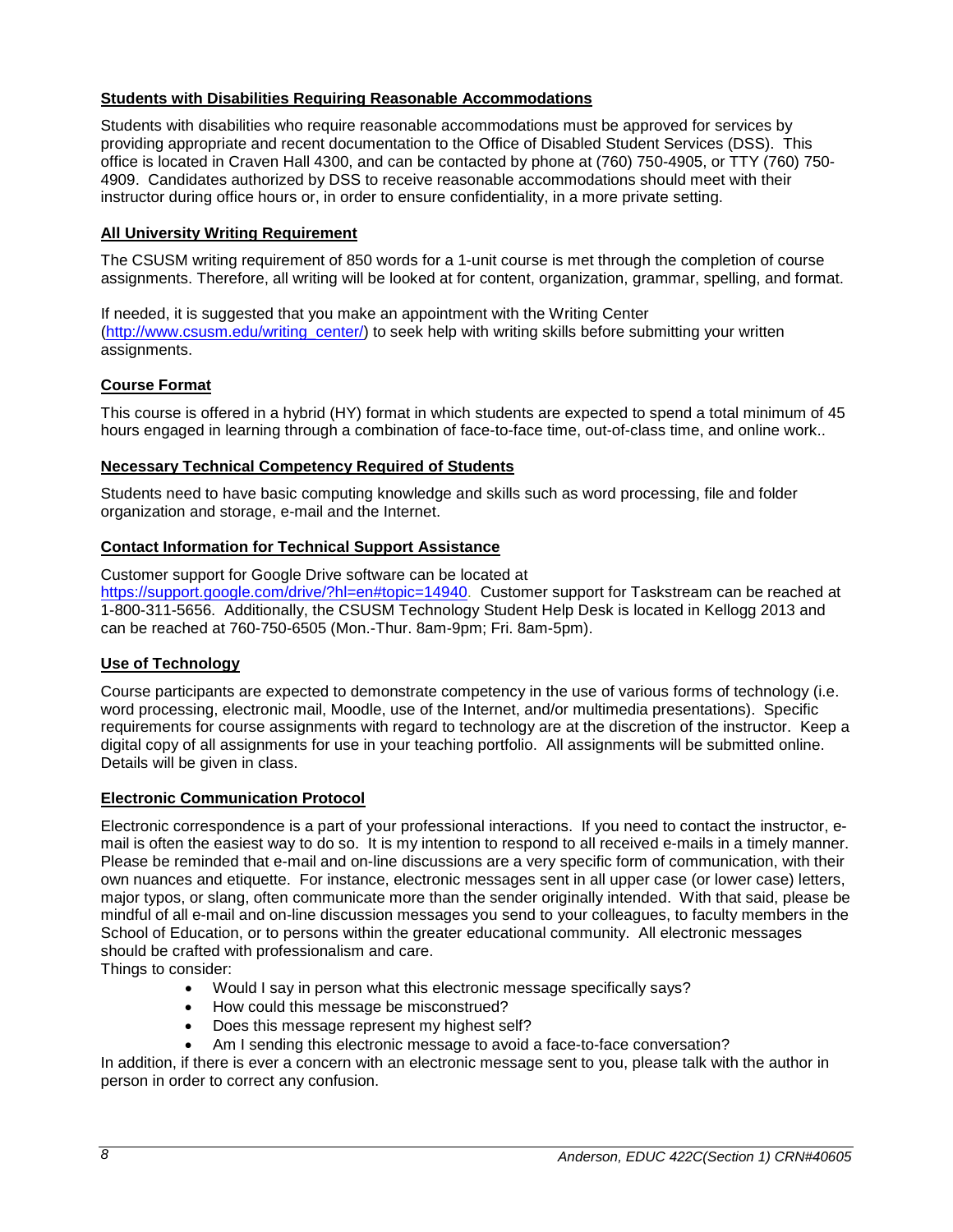# <span id="page-7-0"></span>**Students with Disabilities Requiring Reasonable Accommodations**

Students with disabilities who require reasonable accommodations must be approved for services by providing appropriate and recent documentation to the Office of Disabled Student Services (DSS). This office is located in Craven Hall 4300, and can be contacted by phone at (760) 750-4905, or TTY (760) 750- 4909. Candidates authorized by DSS to receive reasonable accommodations should meet with their instructor during office hours or, in order to ensure confidentiality, in a more private setting.

#### <span id="page-7-1"></span>**All University Writing Requirement**

The CSUSM writing requirement of 850 words for a 1-unit course is met through the completion of course assignments. Therefore, all writing will be looked at for content, organization, grammar, spelling, and format.

If needed, it is suggested that you make an appointment with the Writing Center [\(http://www.csusm.edu/writing\\_center/\)](http://www.csusm.edu/writing_center/) to seek help with writing skills before submitting your written assignments.

#### <span id="page-7-2"></span>**Course Format**

This course is offered in a hybrid (HY) format in which students are expected to spend a total minimum of 45 hours engaged in learning through a combination of face-to-face time, out-of-class time, and online work..

#### <span id="page-7-3"></span>**Necessary Technical Competency Required of Students**

Students need to have basic computing knowledge and skills such as word processing, file and folder organization and storage, e-mail and the Internet.

#### <span id="page-7-4"></span>**Contact Information for Technical Support Assistance**

Customer support for Google Drive software can be located at

[https://support.google.com/drive/?hl=en#topic=14940.](https://support.google.com/drive/?hl=en#topic=14940) Customer support for Taskstream can be reached at 1-800-311-5656. Additionally, the CSUSM Technology Student Help Desk is located in Kellogg 2013 and can be reached at 760-750-6505 (Mon.-Thur. 8am-9pm; Fri. 8am-5pm).

## <span id="page-7-5"></span>**Use of Technology**

Course participants are expected to demonstrate competency in the use of various forms of technology (i.e. word processing, electronic mail, Moodle, use of the Internet, and/or multimedia presentations). Specific requirements for course assignments with regard to technology are at the discretion of the instructor. Keep a digital copy of all assignments for use in your teaching portfolio. All assignments will be submitted online. Details will be given in class.

#### <span id="page-7-6"></span>**Electronic Communication Protocol**

Electronic correspondence is a part of your professional interactions. If you need to contact the instructor, email is often the easiest way to do so. It is my intention to respond to all received e-mails in a timely manner. Please be reminded that e-mail and on-line discussions are a very specific form of communication, with their own nuances and etiquette. For instance, electronic messages sent in all upper case (or lower case) letters, major typos, or slang, often communicate more than the sender originally intended. With that said, please be mindful of all e-mail and on-line discussion messages you send to your colleagues, to faculty members in the School of Education, or to persons within the greater educational community. All electronic messages should be crafted with professionalism and care.

Things to consider:

- Would I say in person what this electronic message specifically says?
- How could this message be misconstrued?
- Does this message represent my highest self?
- Am I sending this electronic message to avoid a face-to-face conversation?

In addition, if there is ever a concern with an electronic message sent to you, please talk with the author in person in order to correct any confusion.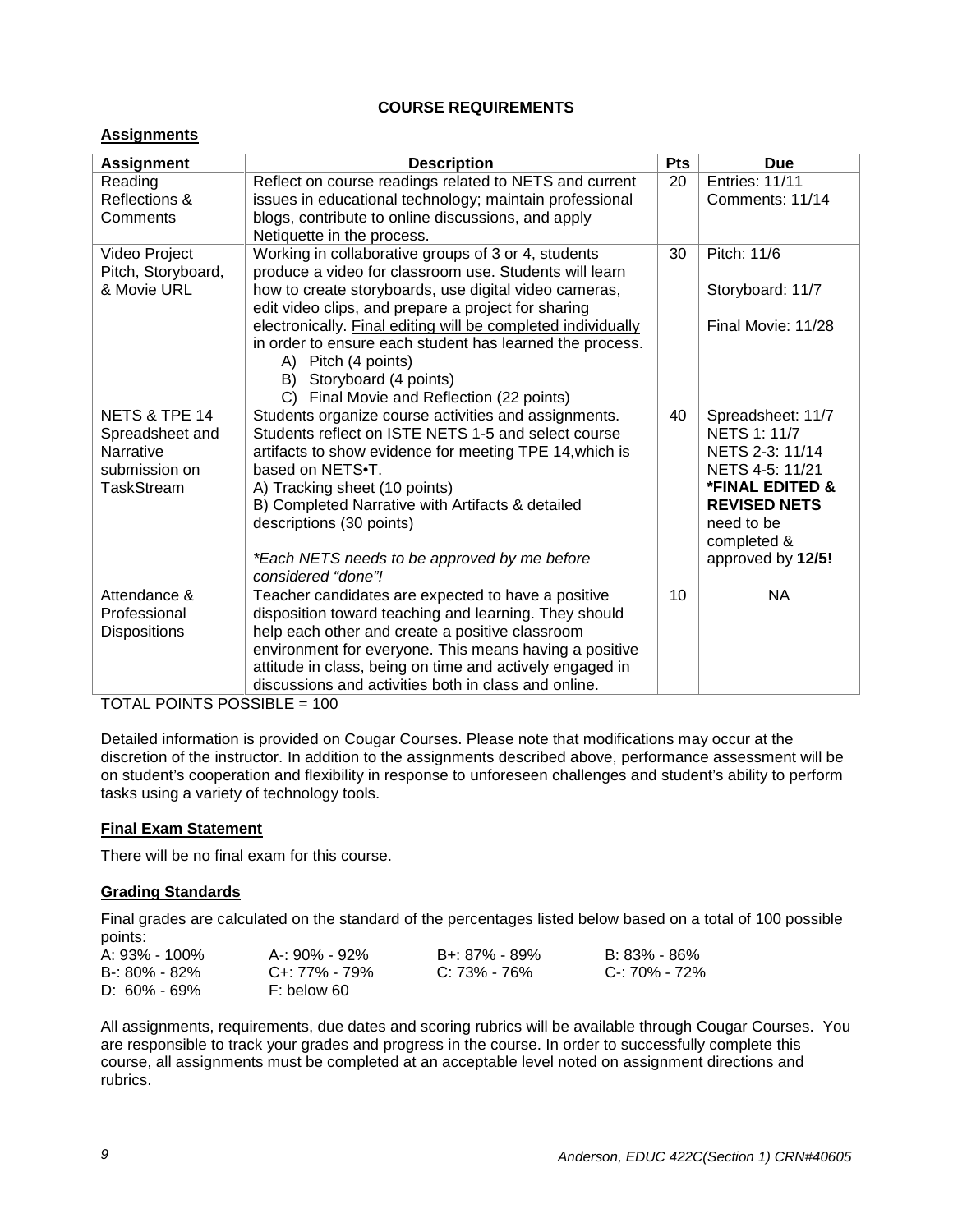# **COURSE REQUIREMENTS**

## <span id="page-8-1"></span><span id="page-8-0"></span>**Assignments**

| <b>Assignment</b>   | <b>Description</b>                                           | Pts | <b>Due</b>                 |
|---------------------|--------------------------------------------------------------|-----|----------------------------|
| Reading             | Reflect on course readings related to NETS and current       | 20  | <b>Entries: 11/11</b>      |
| Reflections &       | issues in educational technology; maintain professional      |     | Comments: 11/14            |
| Comments            | blogs, contribute to online discussions, and apply           |     |                            |
|                     | Netiquette in the process.                                   |     |                            |
| Video Project       | Working in collaborative groups of 3 or 4, students          | 30  | Pitch: 11/6                |
| Pitch, Storyboard,  | produce a video for classroom use. Students will learn       |     |                            |
| & Movie URL         | how to create storyboards, use digital video cameras,        |     | Storyboard: 11/7           |
|                     | edit video clips, and prepare a project for sharing          |     |                            |
|                     | electronically. Final editing will be completed individually |     | Final Movie: 11/28         |
|                     | in order to ensure each student has learned the process.     |     |                            |
|                     | A) Pitch (4 points)                                          |     |                            |
|                     | B) Storyboard (4 points)                                     |     |                            |
|                     | Final Movie and Reflection (22 points)<br>C)                 |     |                            |
| NETS & TPE 14       | Students organize course activities and assignments.         | 40  | Spreadsheet: 11/7          |
| Spreadsheet and     | Students reflect on ISTE NETS 1-5 and select course          |     | <b>NETS 1: 11/7</b>        |
| Narrative           | artifacts to show evidence for meeting TPE 14, which is      |     | NETS 2-3: 11/14            |
| submission on       | based on NETS.T.                                             |     | NETS 4-5: 11/21            |
| TaskStream          | A) Tracking sheet (10 points)                                |     | <b>*FINAL EDITED &amp;</b> |
|                     | B) Completed Narrative with Artifacts & detailed             |     | <b>REVISED NETS</b>        |
|                     | descriptions (30 points)                                     |     | need to be                 |
|                     |                                                              |     | completed &                |
|                     | *Each NETS needs to be approved by me before                 |     | approved by 12/5!          |
|                     | considered "done"!                                           |     |                            |
| Attendance &        | Teacher candidates are expected to have a positive           | 10  | <b>NA</b>                  |
| Professional        | disposition toward teaching and learning. They should        |     |                            |
| <b>Dispositions</b> | help each other and create a positive classroom              |     |                            |
|                     | environment for everyone. This means having a positive       |     |                            |
|                     | attitude in class, being on time and actively engaged in     |     |                            |
|                     | discussions and activities both in class and online.         |     |                            |

TOTAL POINTS POSSIBLE = 100

Detailed information is provided on Cougar Courses. Please note that modifications may occur at the discretion of the instructor. In addition to the assignments described above, performance assessment will be on student's cooperation and flexibility in response to unforeseen challenges and student's ability to perform tasks using a variety of technology tools.

#### <span id="page-8-2"></span>**Final Exam Statement**

There will be no final exam for this course.

#### <span id="page-8-3"></span>**Grading Standards**

Final grades are calculated on the standard of the percentages listed below based on a total of 100 possible points:

| A: 93% - 100% | A-: 90% - 92%       | B+: 87% - 89% | B: 83% - 86%  |
|---------------|---------------------|---------------|---------------|
| B-: 80% - 82% | $C_{+}$ : 77% - 79% | C: 73% - 76%  | C-: 70% - 72% |
| D: 60% - 69%  | F: below 60         |               |               |

All assignments, requirements, due dates and scoring rubrics will be available through Cougar Courses. You are responsible to track your grades and progress in the course. In order to successfully complete this course, all assignments must be completed at an acceptable level noted on assignment directions and rubrics.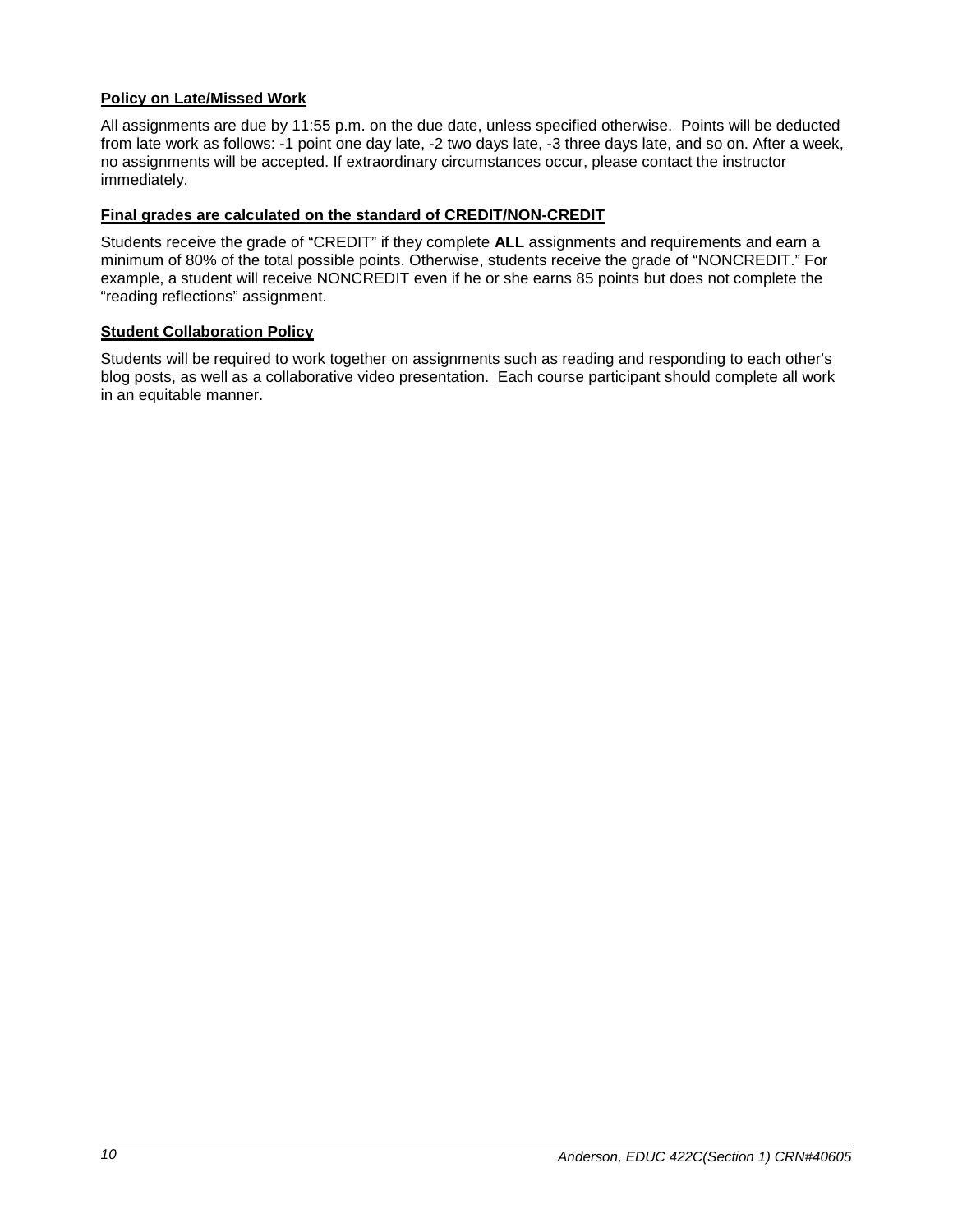# <span id="page-9-0"></span>**Policy on Late/Missed Work**

All assignments are due by 11:55 p.m. on the due date, unless specified otherwise. Points will be deducted from late work as follows: -1 point one day late, -2 two days late, -3 three days late, and so on. After a week, no assignments will be accepted. If extraordinary circumstances occur, please contact the instructor immediately.

#### <span id="page-9-1"></span>**Final grades are calculated on the standard of CREDIT/NON-CREDIT**

Students receive the grade of "CREDIT" if they complete **ALL** assignments and requirements and earn a minimum of 80% of the total possible points. Otherwise, students receive the grade of "NONCREDIT." For example, a student will receive NONCREDIT even if he or she earns 85 points but does not complete the "reading reflections" assignment.

#### <span id="page-9-2"></span>**Student Collaboration Policy**

Students will be required to work together on assignments such as reading and responding to each other's blog posts, as well as a collaborative video presentation. Each course participant should complete all work in an equitable manner.